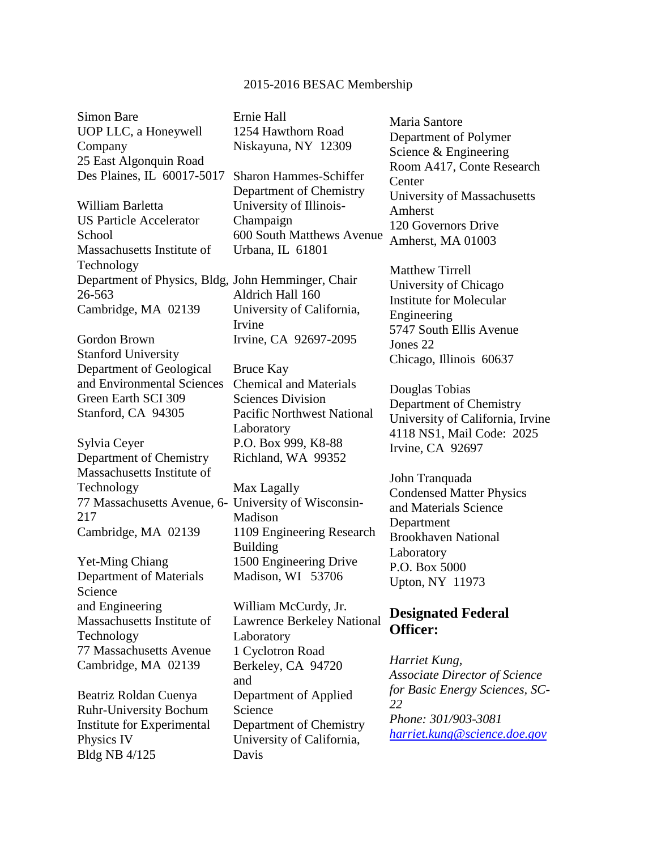## 2015-2016 BESAC Membership

Simon Bare UOP LLC, a Honeywell Company 25 East Algonquin Road Des Plaines, IL 60017-5017

William Barletta US Particle Accelerator **School** Massachusetts Institute of Technology Department of Physics, Bldg, John Hemminger, Chair 26-563 Cambridge, MA 02139

Gordon Brown Stanford University Department of Geological and Environmental Sciences Green Earth SCI 309 Stanford, CA 94305

Sylvia Ceyer Department of Chemistry Massachusetts Institute of Technology 77 Massachusetts Avenue, 6- University of Wisconsin-217 Cambridge, MA 02139

Yet-Ming Chiang Department of Materials Science and Engineering Massachusetts Institute of Technology 77 Massachusetts Avenue Cambridge, MA 02139

Beatriz Roldan Cuenya Ruhr-University Bochum Institute for Experimental Physics IV Bldg NB 4/125

Ernie Hall 1254 Hawthorn Road Niskayuna, NY 12309

Sharon Hammes-Schiffer Department of Chemistry University of Illinois-Champaign 600 South Matthews Avenue Urbana, IL 61801

Aldrich Hall 160 University of California, Irvine Irvine, CA 92697-2095

Bruce Kay Chemical and Materials Sciences Division Pacific Northwest National Laboratory P.O. Box 999, K8-88 Richland, WA 99352

Max Lagally Madison 1109 Engineering Research Building 1500 Engineering Drive Madison, WI 53706

William McCurdy, Jr. Lawrence Berkeley National Laboratory 1 Cyclotron Road Berkeley, CA 94720 and Department of Applied Science Department of Chemistry University of California, Davis

Maria Santore Department of Polymer Science & Engineering Room A417, Conte Research Center University of Massachusetts Amherst 120 Governors Drive Amherst, MA 01003

Matthew Tirrell University of Chicago Institute for Molecular Engineering 5747 South Ellis Avenue Jones 22 Chicago, Illinois 60637

Douglas Tobias Department of Chemistry University of California, Irvine 4118 NS1, Mail Code: 2025 Irvine, CA 92697

John Tranquada Condensed Matter Physics and Materials Science Department Brookhaven National **Laboratory** P.O. Box 5000 Upton, NY 11973

## **Designated Federal Officer:**

*Harriet Kung, Associate Director of Science for Basic Energy Sciences, SC-22 Phone: 301/903-3081 [harriet.kung@science.doe.gov](mailto:harriet.kung@science.doe.gov)*